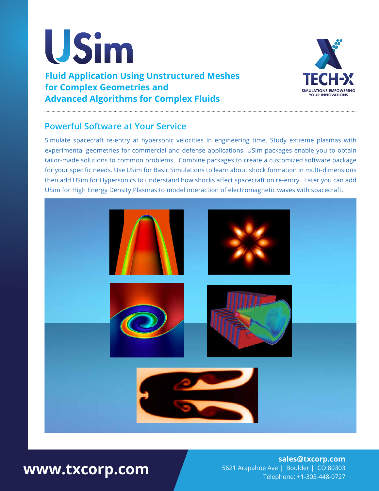

**Fluid Application Using Unstructured Meshes for Complex Geometries and Advanced Algorithms for Complex Fluids**



### **Powerful Software at Your Service**

Simulate spacecraft re-entry at hypersonic velocities in engineering time. Study extreme plasmas with experimental geometries for commercial and defense applications. USim packages enable you to obtain tailor-made solutions to common problems. Combine packages to create a customized software package for your specific needs. Use USim for Basic Simulations to learn about shock formation in multi-dimensions then add USim for Hypersonics to understand how shocks affect spacecraft on re-entry. Later you can add USim for High Energy Density Plasmas to model interaction of electromagnetic waves with spacecraft.



# **www.txcorp.com**

#### **sales@txcorp.com** 5621 Arapahoe Ave | Boulder | CO 80303 Telephone: +1-303-448-0727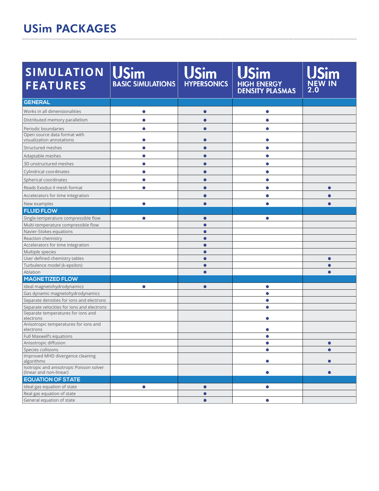#### USim PACKAGES

| <b>SIMULATION</b><br><b>FEATURES</b>                                | <b>USim</b><br><b>BASIC SIMULATIONS</b> | <b>USim</b><br><b>HYPERSONICS</b> | HIGH ENERGY<br>DENSITY PLASMAS | <b>NEW IN</b><br>$2.\bar{0}$ |
|---------------------------------------------------------------------|-----------------------------------------|-----------------------------------|--------------------------------|------------------------------|
| <b>GENERAL</b>                                                      |                                         |                                   |                                |                              |
| Works in all dimensionalities                                       | $\bullet$                               | $\bullet$                         | $\bullet$                      |                              |
| Distributed memory parallelism                                      | $\bullet$                               | $\bullet$                         | $\bullet$                      |                              |
|                                                                     |                                         |                                   |                                |                              |
| Periodic boundaries<br>Open source data format with                 | $\bullet$                               | $\bullet$                         | $\bullet$                      |                              |
| visualization annotations                                           | O                                       | Ο                                 | $\bullet$                      |                              |
| Structured meshes                                                   | Ο                                       |                                   | $\bullet$                      |                              |
| Adaptable meshes                                                    | $\bullet$                               |                                   | $\bullet$                      |                              |
| 3D unstructured meshes                                              | $\bullet$                               | $\bullet$                         | $\bullet$                      |                              |
| Cylindrical coordinates                                             | $\bullet$                               | $\bullet$                         | $\bullet$                      |                              |
| Spherical coordinates                                               | $\bullet$                               | $\bullet$                         | $\bullet$                      |                              |
|                                                                     | $\bullet$                               |                                   |                                |                              |
| Reads Exodus II mesh format                                         |                                         | Ο                                 | $\bullet$                      | $\circ$                      |
| Accelerators for time integration                                   |                                         | Ο                                 | $\bullet$                      |                              |
| New examples                                                        | $\bullet$                               |                                   |                                |                              |
| <b>FLUID FLOW</b>                                                   |                                         |                                   |                                |                              |
| Single-temperature compressible flow                                | $\bullet$                               | $\bullet$                         | $\bullet$                      |                              |
| Multi-temperature compressible flow<br>Navier-Stokes equations      |                                         | $\bullet$<br>$\bullet$            |                                |                              |
| Reaction chemistry                                                  |                                         | $\bullet$                         |                                |                              |
| Accelerators for time integration                                   |                                         | ●                                 |                                |                              |
| Multiple species                                                    |                                         | $\bullet$                         |                                |                              |
| User defined chemistry tables                                       |                                         | $\bullet$                         |                                | $\bullet$                    |
| Turbulence model (k-epsilon)                                        |                                         | $\bullet$                         |                                |                              |
| Ablation                                                            |                                         | $\bullet$                         |                                |                              |
| <b>MAGNETIZED FLOW</b>                                              |                                         |                                   |                                |                              |
| Ideal magnetohydrodynamics                                          | $\bullet$                               | $\bullet$                         | $\bullet$                      |                              |
| Gas dynamic magnetohydrodynamics                                    |                                         |                                   | $\bigcirc$                     |                              |
| Separate densities for ions and electrons                           |                                         |                                   | $\bullet$                      |                              |
| Separate velocities for ions and electrons                          |                                         |                                   | $\bullet$                      |                              |
| Separate temperatures for ions and<br>electrons                     |                                         |                                   | $\bullet$                      |                              |
| Anisotropic temperatures for ions and<br>electrons                  |                                         |                                   | Ο                              |                              |
| Full Maxwell's equations                                            |                                         |                                   |                                |                              |
| Anisotropic diffusion                                               |                                         |                                   | $\bullet$                      | $\circ$                      |
| Species collisions                                                  |                                         |                                   | $\bullet$                      | $\bullet$                    |
| Improved MHD divergence cleaning<br>algorithms                      |                                         |                                   | $\bullet$                      | $\bullet$                    |
| Isotropic and anisotropic Poisson solver<br>(linear and non-linear) |                                         |                                   | $\bullet$                      |                              |
| <b>EQUATION OF STATE</b>                                            |                                         |                                   |                                |                              |
| Ideal gas equation of state                                         | $\bullet$                               | $\bullet$                         | $\circ$                        |                              |
| Real gas equation of state                                          |                                         | $\bullet$                         |                                |                              |
| General equation of state                                           |                                         | $\bullet$                         | $\bullet$                      |                              |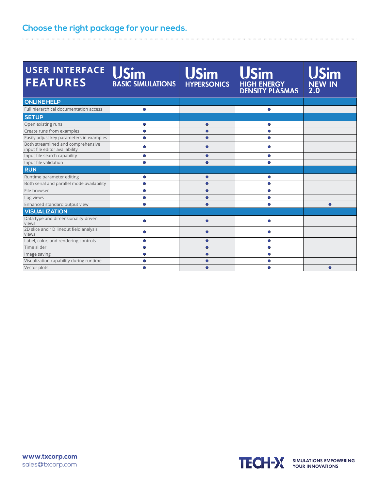## **Choose the right package for your needs.**

| <b>USER INTERFACE</b><br><b>FEATURES</b>                             | <b>USim</b><br><b>BASIC SIMULATIONS HYPERSONICS</b> | <b>USim</b> | <b>USim</b><br>HIGH ENERGY<br>DENSITY PLASMAS | USim<br><b>NEW IN</b><br>2.0 |
|----------------------------------------------------------------------|-----------------------------------------------------|-------------|-----------------------------------------------|------------------------------|
| <b>ONLINE HELP</b>                                                   |                                                     |             |                                               |                              |
| Full hierarchical documentation access                               | $\bullet$                                           |             | $\bullet$                                     |                              |
| <b>SETUP</b>                                                         |                                                     |             |                                               |                              |
| Open existing runs                                                   | $\bullet$                                           | Ο           | $\bullet$                                     |                              |
| Create runs from examples                                            | $\bullet$                                           | ∩           | $\bullet$                                     |                              |
| Easily adjust key parameters in examples                             | ◠                                                   | ∩           | $\bullet$                                     |                              |
| Both streamlined and comprehensive<br>input file editor availability |                                                     |             |                                               |                              |
| Input file search capability                                         | $\bullet$                                           | $\bullet$   | $\bullet$                                     |                              |
| Input file validation                                                | $\bullet$                                           | $\bullet$   | $\bullet$                                     |                              |
| <b>RUN</b>                                                           |                                                     |             |                                               |                              |
| Runtime parameter editing                                            | $\bullet$                                           | $\bullet$   | $\bullet$                                     |                              |
| Both serial and parallel mode availability                           | $\bullet$                                           | ●           | $\bullet$                                     |                              |
| File browser                                                         | Ο                                                   | ●           | $\bullet$                                     |                              |
| Log views                                                            | O                                                   | 0.          | $\bullet$                                     |                              |
| Enhanced standard output view                                        | ∩                                                   | ∩           | ●                                             | $\bigcap$                    |
| <b>VISUALIZATION</b>                                                 |                                                     |             |                                               |                              |
| Data type and dimensionality-driven<br>views                         |                                                     | ∩           | Ο                                             |                              |
| 2D slice and 1D lineout field analysis<br>views                      |                                                     | ∩           | Ο                                             |                              |
| Label, color, and rendering controls                                 | Ο                                                   |             | $\bullet$                                     |                              |
| Time slider                                                          |                                                     | ∩           | $\bullet$                                     |                              |
| Image saving                                                         | Ο                                                   | ∩           | $\bullet$                                     |                              |
| Visualization capability during runtime                              | ∩                                                   |             | $\bullet$                                     |                              |
| Vector plots                                                         |                                                     |             | Ο                                             | $\bullet$                    |